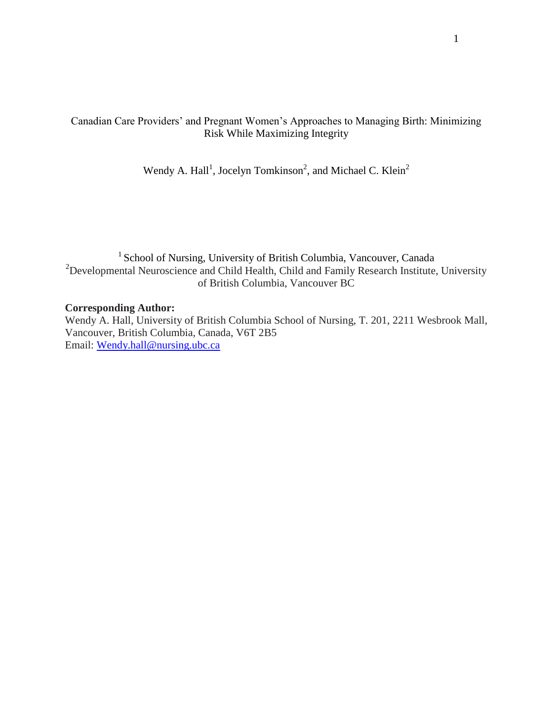## Canadian Care Providers' and Pregnant Women's Approaches to Managing Birth: Minimizing Risk While Maximizing Integrity

Wendy A. Hall<sup>1</sup>, Jocelyn Tomkinson<sup>2</sup>, and Michael C. Klein<sup>2</sup>

<sup>1</sup> School of Nursing, University of British Columbia, Vancouver, Canada <sup>2</sup>Developmental Neuroscience and Child Health, Child and Family Research Institute, University of British Columbia, Vancouver BC

## **Corresponding Author:**

Wendy A. Hall, University of British Columbia School of Nursing, T. 201, 2211 Wesbrook Mall, Vancouver, British Columbia, Canada, V6T 2B5 Email: [Wendy.hall@nursing.ubc.ca](mailto:Wendy.hall@nursing.ubc.ca)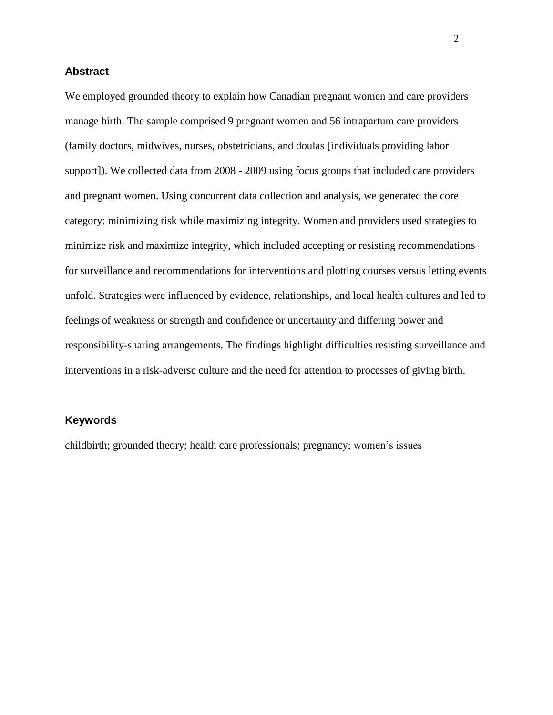## **Abstract**

We employed grounded theory to explain how Canadian pregnant women and care providers manage birth. The sample comprised 9 pregnant women and 56 intrapartum care providers (family doctors, midwives, nurses, obstetricians, and doulas [individuals providing labor support]). We collected data from 2008 - 2009 using focus groups that included care providers and pregnant women. Using concurrent data collection and analysis, we generated the core category: minimizing risk while maximizing integrity. Women and providers used strategies to minimize risk and maximize integrity, which included accepting or resisting recommendations for surveillance and recommendations for interventions and plotting courses versus letting events unfold. Strategies were influenced by evidence, relationships, and local health cultures and led to feelings of weakness or strength and confidence or uncertainty and differing power and responsibility-sharing arrangements. The findings highlight difficulties resisting surveillance and interventions in a risk-adverse culture and the need for attention to processes of giving birth.

## **Keywords**

childbirth; grounded theory; health care professionals; pregnancy; women's issues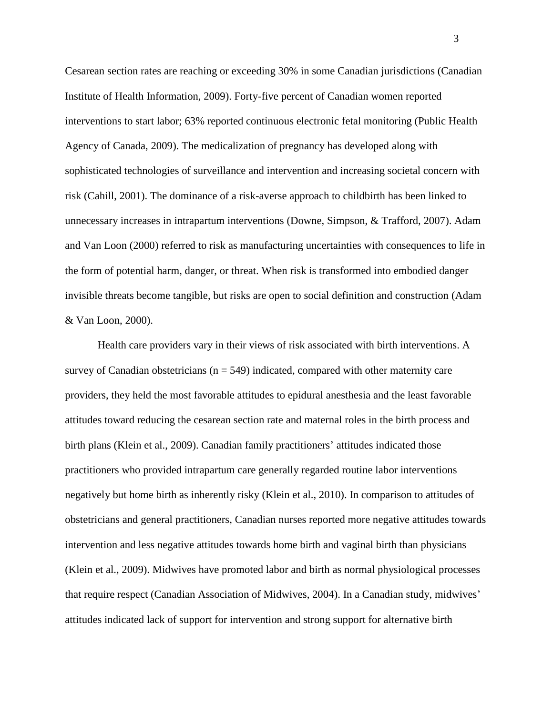Cesarean section rates are reaching or exceeding 30% in some Canadian jurisdictions (Canadian Institute of Health Information, 2009). Forty-five percent of Canadian women reported interventions to start labor; 63% reported continuous electronic fetal monitoring (Public Health Agency of Canada, 2009). The medicalization of pregnancy has developed along with sophisticated technologies of surveillance and intervention and increasing societal concern with risk (Cahill, 2001). The dominance of a risk-averse approach to childbirth has been linked to unnecessary increases in intrapartum interventions (Downe, Simpson, & Trafford, 2007). Adam and Van Loon (2000) referred to risk as manufacturing uncertainties with consequences to life in the form of potential harm, danger, or threat. When risk is transformed into embodied danger invisible threats become tangible, but risks are open to social definition and construction (Adam & Van Loon, 2000).

Health care providers vary in their views of risk associated with birth interventions. A survey of Canadian obstetricians ( $n = 549$ ) indicated, compared with other maternity care providers, they held the most favorable attitudes to epidural anesthesia and the least favorable attitudes toward reducing the cesarean section rate and maternal roles in the birth process and birth plans (Klein et al., 2009). Canadian family practitioners' attitudes indicated those practitioners who provided intrapartum care generally regarded routine labor interventions negatively but home birth as inherently risky (Klein et al., 2010). In comparison to attitudes of obstetricians and general practitioners, Canadian nurses reported more negative attitudes towards intervention and less negative attitudes towards home birth and vaginal birth than physicians (Klein et al., 2009). Midwives have promoted labor and birth as normal physiological processes that require respect (Canadian Association of Midwives, 2004). In a Canadian study, midwives' attitudes indicated lack of support for intervention and strong support for alternative birth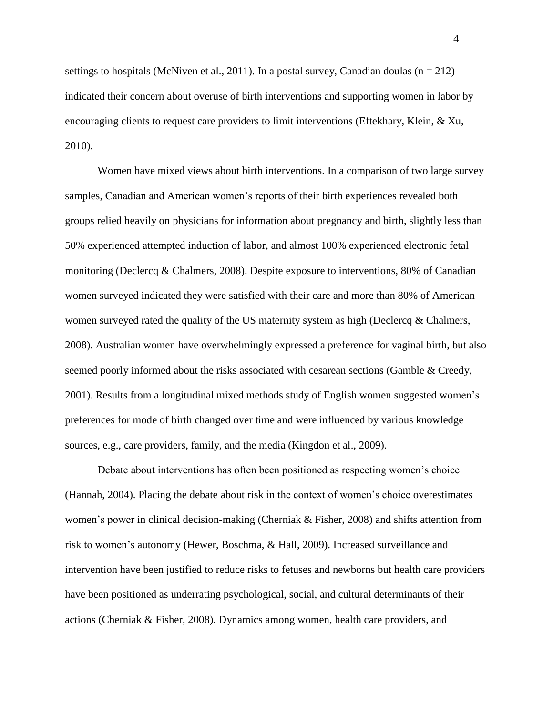settings to hospitals (McNiven et al., 2011). In a postal survey, Canadian doulas ( $n = 212$ ) indicated their concern about overuse of birth interventions and supporting women in labor by encouraging clients to request care providers to limit interventions (Eftekhary, Klein, & Xu, 2010).

Women have mixed views about birth interventions. In a comparison of two large survey samples, Canadian and American women's reports of their birth experiences revealed both groups relied heavily on physicians for information about pregnancy and birth, slightly less than 50% experienced attempted induction of labor, and almost 100% experienced electronic fetal monitoring (Declercq & Chalmers, 2008). Despite exposure to interventions, 80% of Canadian women surveyed indicated they were satisfied with their care and more than 80% of American women surveyed rated the quality of the US maternity system as high (Declercq & Chalmers, 2008). Australian women have overwhelmingly expressed a preference for vaginal birth, but also seemed poorly informed about the risks associated with cesarean sections (Gamble & Creedy, 2001). Results from a longitudinal mixed methods study of English women suggested women's preferences for mode of birth changed over time and were influenced by various knowledge sources, e.g., care providers, family, and the media (Kingdon et al., 2009).

Debate about interventions has often been positioned as respecting women's choice (Hannah, 2004). Placing the debate about risk in the context of women's choice overestimates women's power in clinical decision-making (Cherniak & Fisher, 2008) and shifts attention from risk to women's autonomy (Hewer, Boschma, & Hall, 2009). Increased surveillance and intervention have been justified to reduce risks to fetuses and newborns but health care providers have been positioned as underrating psychological, social, and cultural determinants of their actions (Cherniak & Fisher, 2008). Dynamics among women, health care providers, and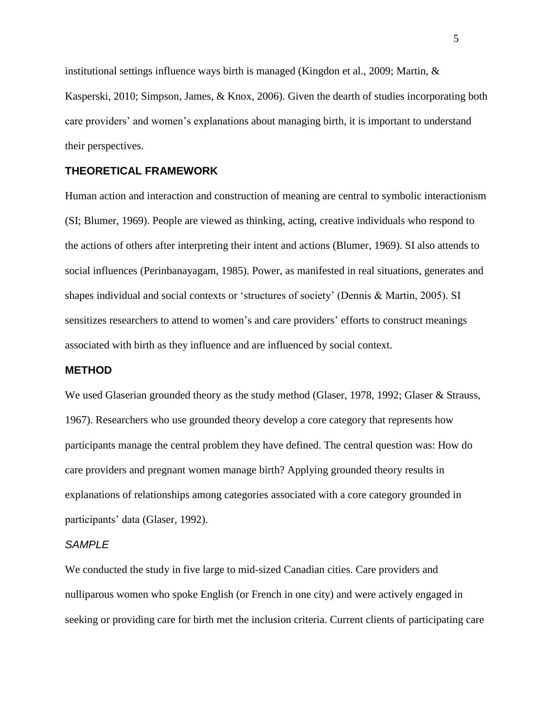institutional settings influence ways birth is managed (Kingdon et al., 2009; Martin, & Kasperski, 2010; Simpson, James, & Knox, 2006). Given the dearth of studies incorporating both care providers' and women's explanations about managing birth, it is important to understand their perspectives.

## **THEORETICAL FRAMEWORK**

Human action and interaction and construction of meaning are central to symbolic interactionism (SI; Blumer, 1969). People are viewed as thinking, acting, creative individuals who respond to the actions of others after interpreting their intent and actions (Blumer, 1969). SI also attends to social influences (Perinbanayagam, 1985). Power, as manifested in real situations, generates and shapes individual and social contexts or 'structures of society' (Dennis & Martin, 2005). SI sensitizes researchers to attend to women's and care providers' efforts to construct meanings associated with birth as they influence and are influenced by social context.

#### **METHOD**

We used Glaserian grounded theory as the study method (Glaser, 1978, 1992; Glaser & Strauss, 1967). Researchers who use grounded theory develop a core category that represents how participants manage the central problem they have defined. The central question was: How do care providers and pregnant women manage birth? Applying grounded theory results in explanations of relationships among categories associated with a core category grounded in participants' data (Glaser, 1992).

#### *SAMPLE*

We conducted the study in five large to mid-sized Canadian cities. Care providers and nulliparous women who spoke English (or French in one city) and were actively engaged in seeking or providing care for birth met the inclusion criteria. Current clients of participating care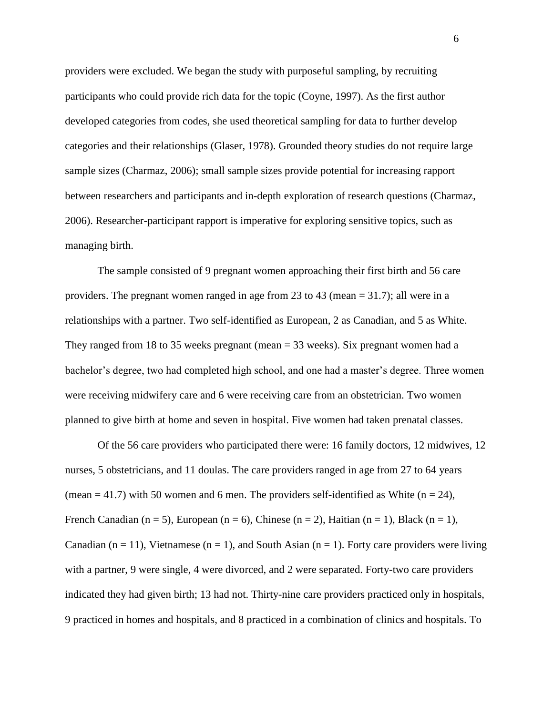providers were excluded. We began the study with purposeful sampling, by recruiting participants who could provide rich data for the topic (Coyne, 1997). As the first author developed categories from codes, she used theoretical sampling for data to further develop categories and their relationships (Glaser, 1978). Grounded theory studies do not require large sample sizes (Charmaz, 2006); small sample sizes provide potential for increasing rapport between researchers and participants and in-depth exploration of research questions (Charmaz, 2006). Researcher-participant rapport is imperative for exploring sensitive topics, such as managing birth.

The sample consisted of 9 pregnant women approaching their first birth and 56 care providers. The pregnant women ranged in age from 23 to 43 (mean = 31.7); all were in a relationships with a partner. Two self-identified as European, 2 as Canadian, and 5 as White. They ranged from 18 to 35 weeks pregnant (mean = 33 weeks). Six pregnant women had a bachelor's degree, two had completed high school, and one had a master's degree. Three women were receiving midwifery care and 6 were receiving care from an obstetrician. Two women planned to give birth at home and seven in hospital. Five women had taken prenatal classes.

Of the 56 care providers who participated there were: 16 family doctors, 12 midwives, 12 nurses, 5 obstetricians, and 11 doulas. The care providers ranged in age from 27 to 64 years (mean  $= 41.7$ ) with 50 women and 6 men. The providers self-identified as White (n = 24), French Canadian (n = 5), European (n = 6), Chinese (n = 2), Haitian (n = 1), Black (n = 1), Canadian ( $n = 11$ ), Vietnamese ( $n = 1$ ), and South Asian ( $n = 1$ ). Forty care providers were living with a partner, 9 were single, 4 were divorced, and 2 were separated. Forty-two care providers indicated they had given birth; 13 had not. Thirty-nine care providers practiced only in hospitals, 9 practiced in homes and hospitals, and 8 practiced in a combination of clinics and hospitals. To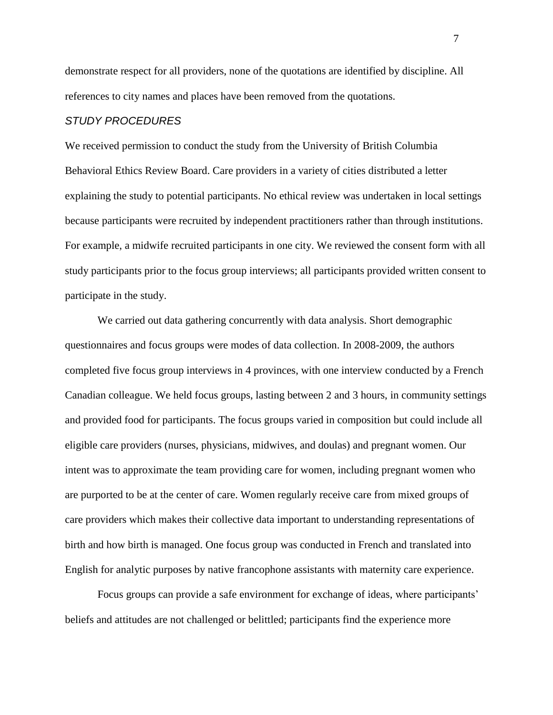demonstrate respect for all providers, none of the quotations are identified by discipline. All references to city names and places have been removed from the quotations.

#### *STUDY PROCEDURES*

We received permission to conduct the study from the University of British Columbia Behavioral Ethics Review Board. Care providers in a variety of cities distributed a letter explaining the study to potential participants. No ethical review was undertaken in local settings because participants were recruited by independent practitioners rather than through institutions. For example, a midwife recruited participants in one city. We reviewed the consent form with all study participants prior to the focus group interviews; all participants provided written consent to participate in the study.

We carried out data gathering concurrently with data analysis. Short demographic questionnaires and focus groups were modes of data collection. In 2008-2009, the authors completed five focus group interviews in 4 provinces, with one interview conducted by a French Canadian colleague. We held focus groups, lasting between 2 and 3 hours, in community settings and provided food for participants. The focus groups varied in composition but could include all eligible care providers (nurses, physicians, midwives, and doulas) and pregnant women. Our intent was to approximate the team providing care for women, including pregnant women who are purported to be at the center of care. Women regularly receive care from mixed groups of care providers which makes their collective data important to understanding representations of birth and how birth is managed. One focus group was conducted in French and translated into English for analytic purposes by native francophone assistants with maternity care experience.

Focus groups can provide a safe environment for exchange of ideas, where participants' beliefs and attitudes are not challenged or belittled; participants find the experience more

7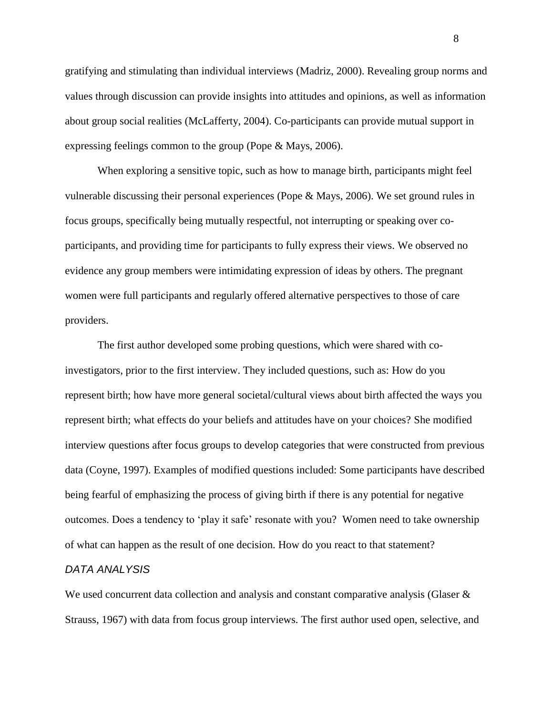gratifying and stimulating than individual interviews (Madriz, 2000). Revealing group norms and values through discussion can provide insights into attitudes and opinions, as well as information about group social realities (McLafferty, 2004). Co-participants can provide mutual support in expressing feelings common to the group (Pope & Mays, 2006).

When exploring a sensitive topic, such as how to manage birth, participants might feel vulnerable discussing their personal experiences (Pope & Mays, 2006). We set ground rules in focus groups, specifically being mutually respectful, not interrupting or speaking over coparticipants, and providing time for participants to fully express their views. We observed no evidence any group members were intimidating expression of ideas by others. The pregnant women were full participants and regularly offered alternative perspectives to those of care providers.

The first author developed some probing questions, which were shared with coinvestigators, prior to the first interview. They included questions, such as: How do you represent birth; how have more general societal/cultural views about birth affected the ways you represent birth; what effects do your beliefs and attitudes have on your choices? She modified interview questions after focus groups to develop categories that were constructed from previous data (Coyne, 1997). Examples of modified questions included: Some participants have described being fearful of emphasizing the process of giving birth if there is any potential for negative outcomes. Does a tendency to 'play it safe' resonate with you? Women need to take ownership of what can happen as the result of one decision. How do you react to that statement?

#### *DATA ANALYSIS*

We used concurrent data collection and analysis and constant comparative analysis (Glaser & Strauss, 1967) with data from focus group interviews. The first author used open, selective, and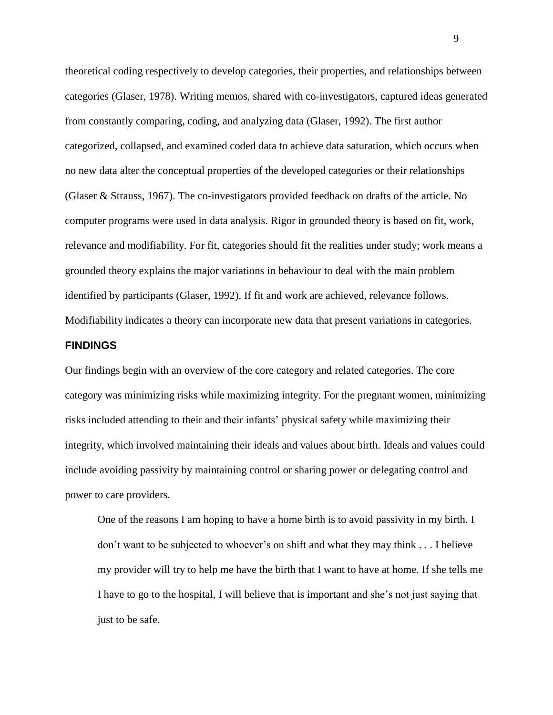theoretical coding respectively to develop categories, their properties, and relationships between categories (Glaser, 1978). Writing memos, shared with co-investigators, captured ideas generated from constantly comparing, coding, and analyzing data (Glaser, 1992). The first author categorized, collapsed, and examined coded data to achieve data saturation, which occurs when no new data alter the conceptual properties of the developed categories or their relationships (Glaser & Strauss, 1967). The co-investigators provided feedback on drafts of the article. No computer programs were used in data analysis. Rigor in grounded theory is based on fit, work, relevance and modifiability. For fit, categories should fit the realities under study; work means a grounded theory explains the major variations in behaviour to deal with the main problem identified by participants (Glaser, 1992). If fit and work are achieved, relevance follows. Modifiability indicates a theory can incorporate new data that present variations in categories.

#### **FINDINGS**

Our findings begin with an overview of the core category and related categories. The core category was minimizing risks while maximizing integrity. For the pregnant women, minimizing risks included attending to their and their infants' physical safety while maximizing their integrity, which involved maintaining their ideals and values about birth. Ideals and values could include avoiding passivity by maintaining control or sharing power or delegating control and power to care providers.

One of the reasons I am hoping to have a home birth is to avoid passivity in my birth. I don't want to be subjected to whoever's on shift and what they may think . . . I believe my provider will try to help me have the birth that I want to have at home. If she tells me I have to go to the hospital, I will believe that is important and she's not just saying that just to be safe.

9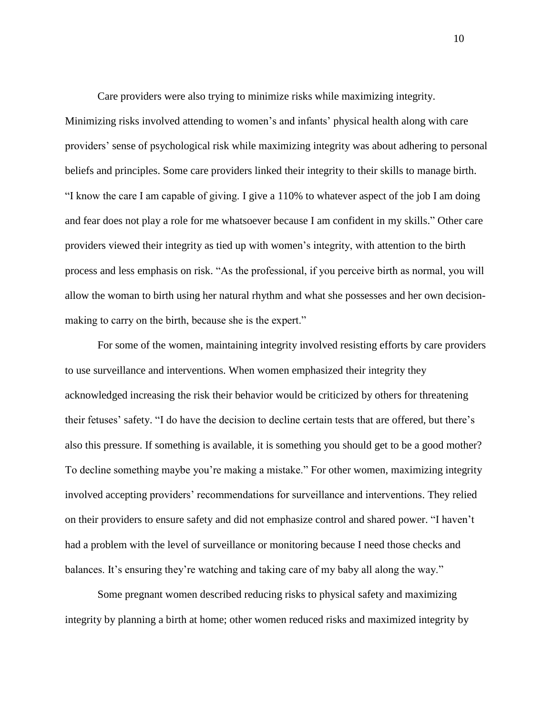Care providers were also trying to minimize risks while maximizing integrity. Minimizing risks involved attending to women's and infants' physical health along with care providers' sense of psychological risk while maximizing integrity was about adhering to personal beliefs and principles. Some care providers linked their integrity to their skills to manage birth. "I know the care I am capable of giving. I give a 110% to whatever aspect of the job I am doing and fear does not play a role for me whatsoever because I am confident in my skills." Other care providers viewed their integrity as tied up with women's integrity, with attention to the birth process and less emphasis on risk. "As the professional, if you perceive birth as normal, you will allow the woman to birth using her natural rhythm and what she possesses and her own decisionmaking to carry on the birth, because she is the expert."

For some of the women, maintaining integrity involved resisting efforts by care providers to use surveillance and interventions. When women emphasized their integrity they acknowledged increasing the risk their behavior would be criticized by others for threatening their fetuses' safety. "I do have the decision to decline certain tests that are offered, but there's also this pressure. If something is available, it is something you should get to be a good mother? To decline something maybe you're making a mistake." For other women, maximizing integrity involved accepting providers' recommendations for surveillance and interventions. They relied on their providers to ensure safety and did not emphasize control and shared power. "I haven't had a problem with the level of surveillance or monitoring because I need those checks and balances. It's ensuring they're watching and taking care of my baby all along the way."

Some pregnant women described reducing risks to physical safety and maximizing integrity by planning a birth at home; other women reduced risks and maximized integrity by

10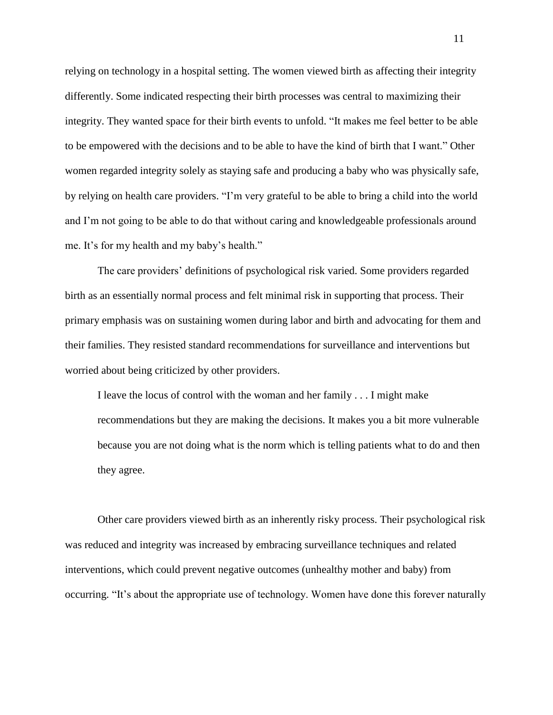relying on technology in a hospital setting. The women viewed birth as affecting their integrity differently. Some indicated respecting their birth processes was central to maximizing their integrity. They wanted space for their birth events to unfold. "It makes me feel better to be able to be empowered with the decisions and to be able to have the kind of birth that I want." Other women regarded integrity solely as staying safe and producing a baby who was physically safe, by relying on health care providers. "I'm very grateful to be able to bring a child into the world and I'm not going to be able to do that without caring and knowledgeable professionals around me. It's for my health and my baby's health."

The care providers' definitions of psychological risk varied. Some providers regarded birth as an essentially normal process and felt minimal risk in supporting that process. Their primary emphasis was on sustaining women during labor and birth and advocating for them and their families. They resisted standard recommendations for surveillance and interventions but worried about being criticized by other providers.

I leave the locus of control with the woman and her family . . . I might make recommendations but they are making the decisions. It makes you a bit more vulnerable because you are not doing what is the norm which is telling patients what to do and then they agree.

Other care providers viewed birth as an inherently risky process. Their psychological risk was reduced and integrity was increased by embracing surveillance techniques and related interventions, which could prevent negative outcomes (unhealthy mother and baby) from occurring. "It's about the appropriate use of technology. Women have done this forever naturally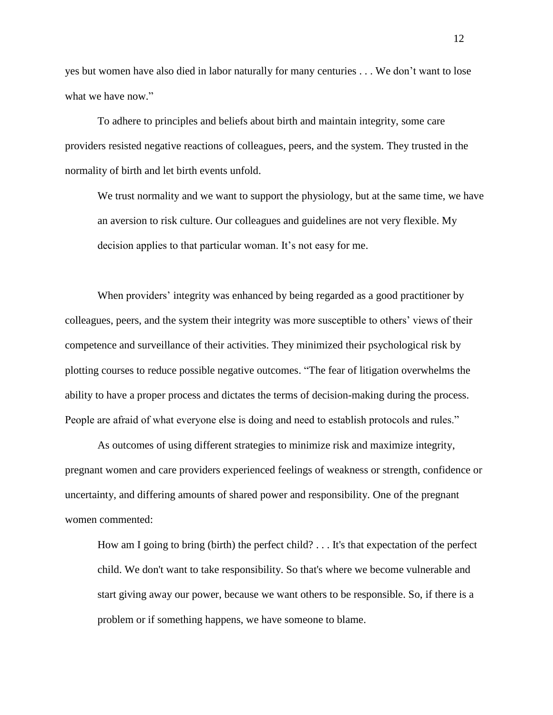yes but women have also died in labor naturally for many centuries . . . We don't want to lose what we have now."

To adhere to principles and beliefs about birth and maintain integrity, some care providers resisted negative reactions of colleagues, peers, and the system. They trusted in the normality of birth and let birth events unfold.

We trust normality and we want to support the physiology, but at the same time, we have an aversion to risk culture. Our colleagues and guidelines are not very flexible. My decision applies to that particular woman. It's not easy for me.

When providers' integrity was enhanced by being regarded as a good practitioner by colleagues, peers, and the system their integrity was more susceptible to others' views of their competence and surveillance of their activities. They minimized their psychological risk by plotting courses to reduce possible negative outcomes. "The fear of litigation overwhelms the ability to have a proper process and dictates the terms of decision-making during the process. People are afraid of what everyone else is doing and need to establish protocols and rules."

As outcomes of using different strategies to minimize risk and maximize integrity, pregnant women and care providers experienced feelings of weakness or strength, confidence or uncertainty, and differing amounts of shared power and responsibility. One of the pregnant women commented:

How am I going to bring (birth) the perfect child? . . . It's that expectation of the perfect child. We don't want to take responsibility. So that's where we become vulnerable and start giving away our power, because we want others to be responsible. So, if there is a problem or if something happens, we have someone to blame.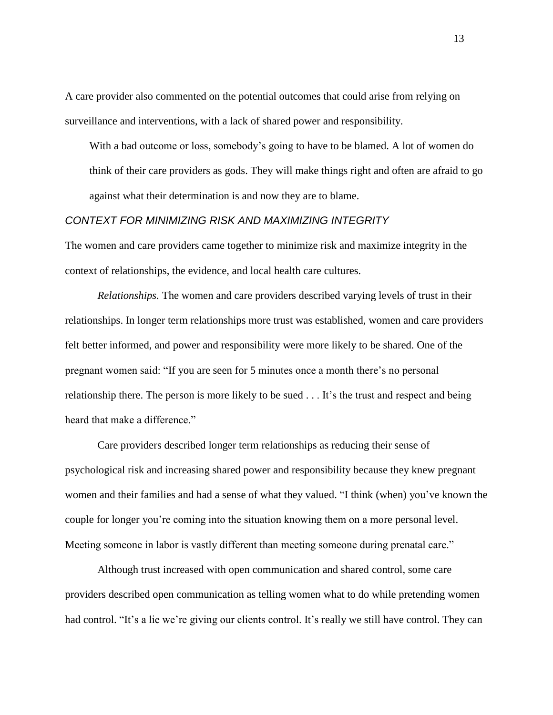A care provider also commented on the potential outcomes that could arise from relying on surveillance and interventions, with a lack of shared power and responsibility.

With a bad outcome or loss, somebody's going to have to be blamed. A lot of women do think of their care providers as gods. They will make things right and often are afraid to go against what their determination is and now they are to blame.

## *CONTEXT FOR MINIMIZING RISK AND MAXIMIZING INTEGRITY*

The women and care providers came together to minimize risk and maximize integrity in the context of relationships, the evidence, and local health care cultures.

*Relationships.* The women and care providers described varying levels of trust in their relationships. In longer term relationships more trust was established, women and care providers felt better informed, and power and responsibility were more likely to be shared. One of the pregnant women said: "If you are seen for 5 minutes once a month there's no personal relationship there. The person is more likely to be sued . . . It's the trust and respect and being heard that make a difference."

Care providers described longer term relationships as reducing their sense of psychological risk and increasing shared power and responsibility because they knew pregnant women and their families and had a sense of what they valued. "I think (when) you've known the couple for longer you're coming into the situation knowing them on a more personal level. Meeting someone in labor is vastly different than meeting someone during prenatal care."

Although trust increased with open communication and shared control, some care providers described open communication as telling women what to do while pretending women had control. "It's a lie we're giving our clients control. It's really we still have control. They can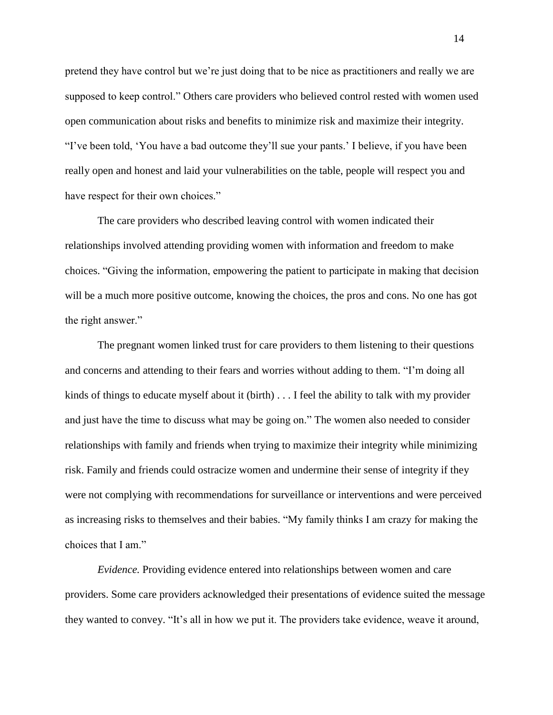pretend they have control but we're just doing that to be nice as practitioners and really we are supposed to keep control." Others care providers who believed control rested with women used open communication about risks and benefits to minimize risk and maximize their integrity. "I've been told, 'You have a bad outcome they'll sue your pants.' I believe, if you have been really open and honest and laid your vulnerabilities on the table, people will respect you and have respect for their own choices."

The care providers who described leaving control with women indicated their relationships involved attending providing women with information and freedom to make choices. "Giving the information, empowering the patient to participate in making that decision will be a much more positive outcome, knowing the choices, the pros and cons. No one has got the right answer."

The pregnant women linked trust for care providers to them listening to their questions and concerns and attending to their fears and worries without adding to them. "I'm doing all kinds of things to educate myself about it (birth) . . . I feel the ability to talk with my provider and just have the time to discuss what may be going on." The women also needed to consider relationships with family and friends when trying to maximize their integrity while minimizing risk. Family and friends could ostracize women and undermine their sense of integrity if they were not complying with recommendations for surveillance or interventions and were perceived as increasing risks to themselves and their babies. "My family thinks I am crazy for making the choices that I am."

*Evidence.* Providing evidence entered into relationships between women and care providers. Some care providers acknowledged their presentations of evidence suited the message they wanted to convey. "It's all in how we put it. The providers take evidence, weave it around,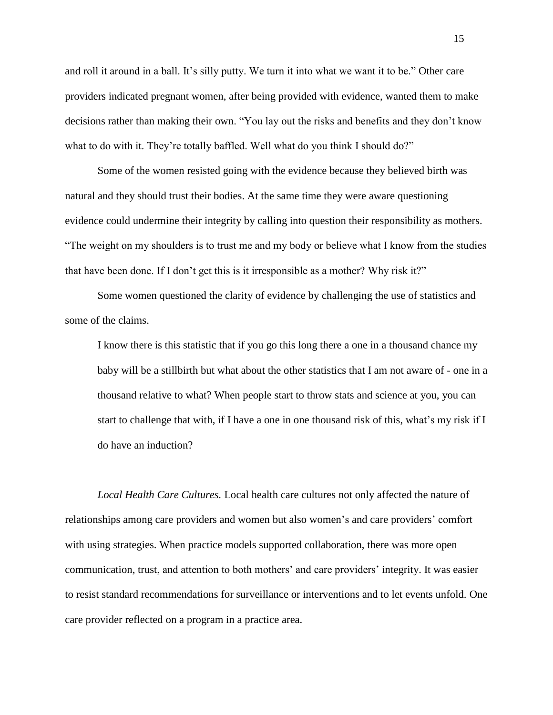and roll it around in a ball. It's silly putty. We turn it into what we want it to be." Other care providers indicated pregnant women, after being provided with evidence, wanted them to make decisions rather than making their own. "You lay out the risks and benefits and they don't know what to do with it. They're totally baffled. Well what do you think I should do?"

Some of the women resisted going with the evidence because they believed birth was natural and they should trust their bodies. At the same time they were aware questioning evidence could undermine their integrity by calling into question their responsibility as mothers. "The weight on my shoulders is to trust me and my body or believe what I know from the studies that have been done. If I don't get this is it irresponsible as a mother? Why risk it?"

Some women questioned the clarity of evidence by challenging the use of statistics and some of the claims.

I know there is this statistic that if you go this long there a one in a thousand chance my baby will be a stillbirth but what about the other statistics that I am not aware of - one in a thousand relative to what? When people start to throw stats and science at you, you can start to challenge that with, if I have a one in one thousand risk of this, what's my risk if I do have an induction?

*Local Health Care Cultures.* Local health care cultures not only affected the nature of relationships among care providers and women but also women's and care providers' comfort with using strategies. When practice models supported collaboration, there was more open communication, trust, and attention to both mothers' and care providers' integrity. It was easier to resist standard recommendations for surveillance or interventions and to let events unfold. One care provider reflected on a program in a practice area.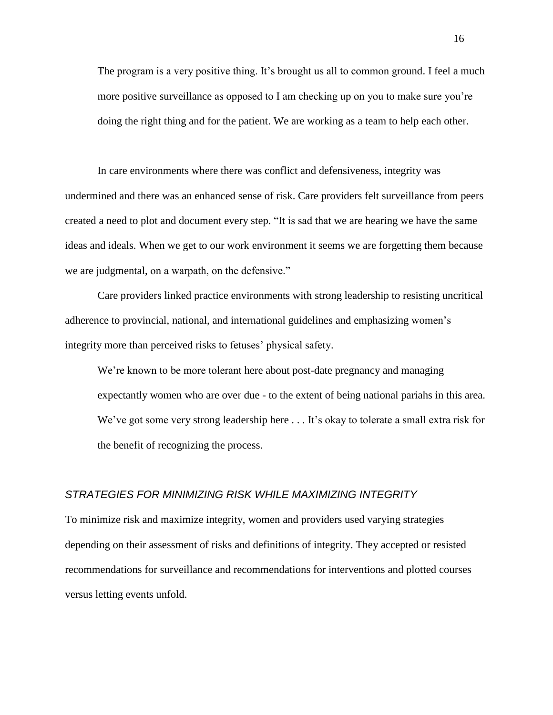The program is a very positive thing. It's brought us all to common ground. I feel a much more positive surveillance as opposed to I am checking up on you to make sure you're doing the right thing and for the patient. We are working as a team to help each other.

In care environments where there was conflict and defensiveness, integrity was undermined and there was an enhanced sense of risk. Care providers felt surveillance from peers created a need to plot and document every step. "It is sad that we are hearing we have the same ideas and ideals. When we get to our work environment it seems we are forgetting them because we are judgmental, on a warpath, on the defensive."

Care providers linked practice environments with strong leadership to resisting uncritical adherence to provincial, national, and international guidelines and emphasizing women's integrity more than perceived risks to fetuses' physical safety.

We're known to be more tolerant here about post-date pregnancy and managing expectantly women who are over due - to the extent of being national pariahs in this area. We've got some very strong leadership here . . . It's okay to tolerate a small extra risk for the benefit of recognizing the process.

#### *STRATEGIES FOR MINIMIZING RISK WHILE MAXIMIZING INTEGRITY*

To minimize risk and maximize integrity, women and providers used varying strategies depending on their assessment of risks and definitions of integrity. They accepted or resisted recommendations for surveillance and recommendations for interventions and plotted courses versus letting events unfold.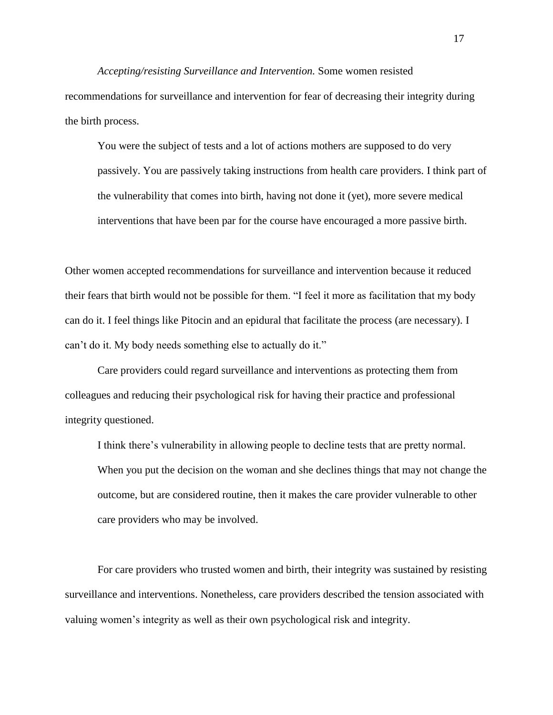*Accepting/resisting Surveillance and Intervention.* Some women resisted recommendations for surveillance and intervention for fear of decreasing their integrity during the birth process.

You were the subject of tests and a lot of actions mothers are supposed to do very passively. You are passively taking instructions from health care providers. I think part of the vulnerability that comes into birth, having not done it (yet), more severe medical interventions that have been par for the course have encouraged a more passive birth.

Other women accepted recommendations for surveillance and intervention because it reduced their fears that birth would not be possible for them. "I feel it more as facilitation that my body can do it. I feel things like Pitocin and an epidural that facilitate the process (are necessary). I can't do it. My body needs something else to actually do it."

Care providers could regard surveillance and interventions as protecting them from colleagues and reducing their psychological risk for having their practice and professional integrity questioned.

I think there's vulnerability in allowing people to decline tests that are pretty normal. When you put the decision on the woman and she declines things that may not change the outcome, but are considered routine, then it makes the care provider vulnerable to other care providers who may be involved.

For care providers who trusted women and birth, their integrity was sustained by resisting surveillance and interventions. Nonetheless, care providers described the tension associated with valuing women's integrity as well as their own psychological risk and integrity.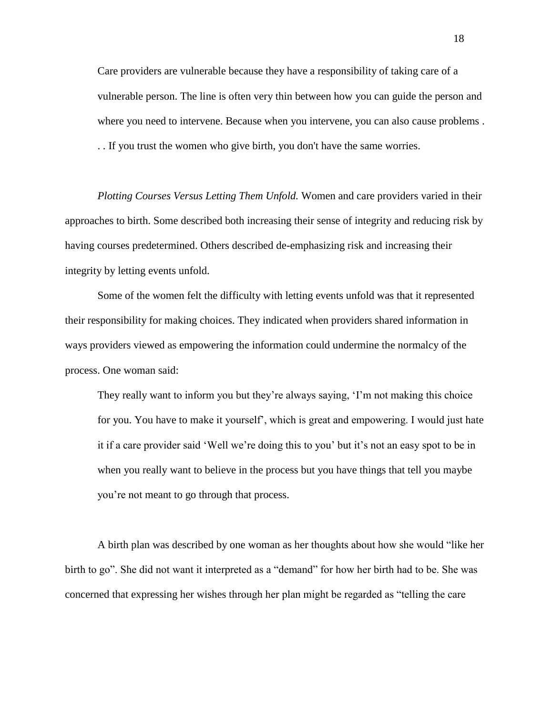Care providers are vulnerable because they have a responsibility of taking care of a vulnerable person. The line is often very thin between how you can guide the person and where you need to intervene. Because when you intervene, you can also cause problems . . . If you trust the women who give birth, you don't have the same worries.

*Plotting Courses Versus Letting Them Unfold.* Women and care providers varied in their approaches to birth. Some described both increasing their sense of integrity and reducing risk by having courses predetermined. Others described de-emphasizing risk and increasing their integrity by letting events unfold.

Some of the women felt the difficulty with letting events unfold was that it represented their responsibility for making choices. They indicated when providers shared information in ways providers viewed as empowering the information could undermine the normalcy of the process. One woman said:

They really want to inform you but they're always saying, 'I'm not making this choice for you. You have to make it yourself', which is great and empowering. I would just hate it if a care provider said 'Well we're doing this to you' but it's not an easy spot to be in when you really want to believe in the process but you have things that tell you maybe you're not meant to go through that process.

A birth plan was described by one woman as her thoughts about how she would "like her birth to go". She did not want it interpreted as a "demand" for how her birth had to be. She was concerned that expressing her wishes through her plan might be regarded as "telling the care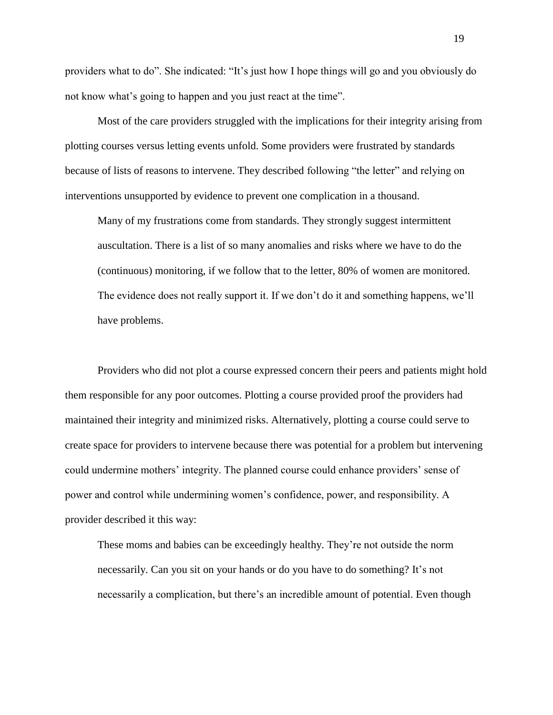providers what to do". She indicated: "It's just how I hope things will go and you obviously do not know what's going to happen and you just react at the time".

Most of the care providers struggled with the implications for their integrity arising from plotting courses versus letting events unfold. Some providers were frustrated by standards because of lists of reasons to intervene. They described following "the letter" and relying on interventions unsupported by evidence to prevent one complication in a thousand.

Many of my frustrations come from standards. They strongly suggest intermittent auscultation. There is a list of so many anomalies and risks where we have to do the (continuous) monitoring, if we follow that to the letter, 80% of women are monitored. The evidence does not really support it. If we don't do it and something happens, we'll have problems.

Providers who did not plot a course expressed concern their peers and patients might hold them responsible for any poor outcomes. Plotting a course provided proof the providers had maintained their integrity and minimized risks. Alternatively, plotting a course could serve to create space for providers to intervene because there was potential for a problem but intervening could undermine mothers' integrity. The planned course could enhance providers' sense of power and control while undermining women's confidence, power, and responsibility. A provider described it this way:

These moms and babies can be exceedingly healthy. They're not outside the norm necessarily. Can you sit on your hands or do you have to do something? It's not necessarily a complication, but there's an incredible amount of potential. Even though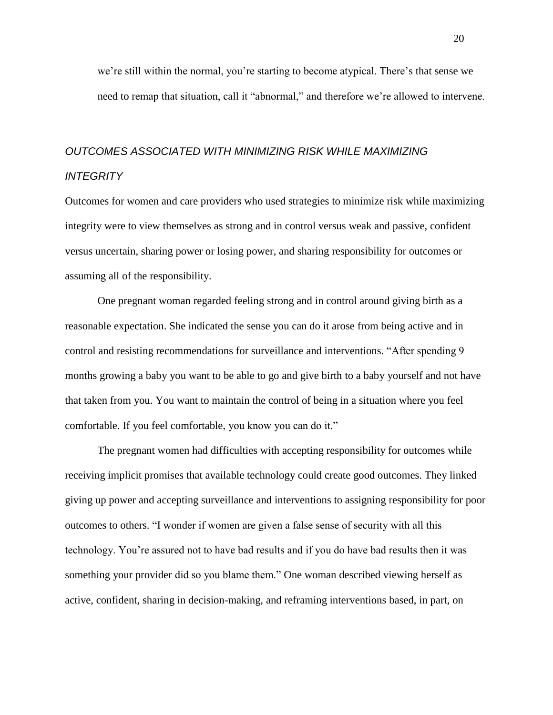we're still within the normal, you're starting to become atypical. There's that sense we need to remap that situation, call it "abnormal," and therefore we're allowed to intervene.

# *OUTCOMES ASSOCIATED WITH MINIMIZING RISK WHILE MAXIMIZING INTEGRITY*

Outcomes for women and care providers who used strategies to minimize risk while maximizing integrity were to view themselves as strong and in control versus weak and passive, confident versus uncertain, sharing power or losing power, and sharing responsibility for outcomes or assuming all of the responsibility.

One pregnant woman regarded feeling strong and in control around giving birth as a reasonable expectation. She indicated the sense you can do it arose from being active and in control and resisting recommendations for surveillance and interventions. "After spending 9 months growing a baby you want to be able to go and give birth to a baby yourself and not have that taken from you. You want to maintain the control of being in a situation where you feel comfortable. If you feel comfortable, you know you can do it."

The pregnant women had difficulties with accepting responsibility for outcomes while receiving implicit promises that available technology could create good outcomes. They linked giving up power and accepting surveillance and interventions to assigning responsibility for poor outcomes to others. "I wonder if women are given a false sense of security with all this technology. You're assured not to have bad results and if you do have bad results then it was something your provider did so you blame them." One woman described viewing herself as active, confident, sharing in decision-making, and reframing interventions based, in part, on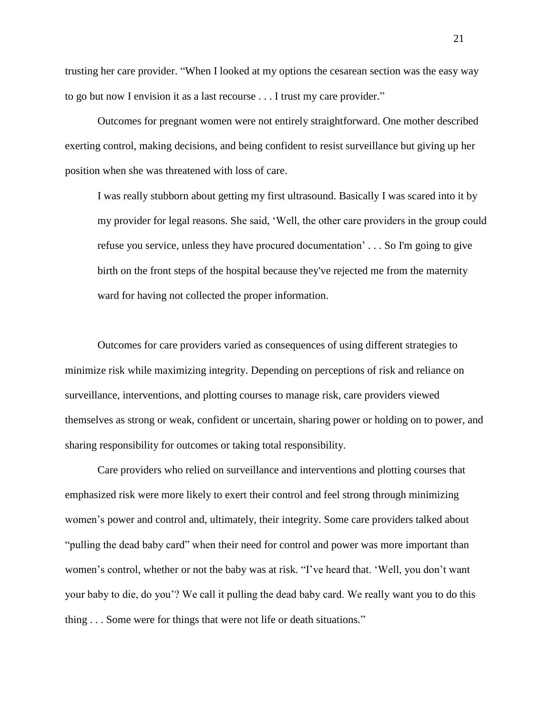trusting her care provider. "When I looked at my options the cesarean section was the easy way to go but now I envision it as a last recourse . . . I trust my care provider."

Outcomes for pregnant women were not entirely straightforward. One mother described exerting control, making decisions, and being confident to resist surveillance but giving up her position when she was threatened with loss of care.

I was really stubborn about getting my first ultrasound. Basically I was scared into it by my provider for legal reasons. She said, 'Well, the other care providers in the group could refuse you service, unless they have procured documentation' . . . So I'm going to give birth on the front steps of the hospital because they've rejected me from the maternity ward for having not collected the proper information.

Outcomes for care providers varied as consequences of using different strategies to minimize risk while maximizing integrity. Depending on perceptions of risk and reliance on surveillance, interventions, and plotting courses to manage risk, care providers viewed themselves as strong or weak, confident or uncertain, sharing power or holding on to power, and sharing responsibility for outcomes or taking total responsibility.

Care providers who relied on surveillance and interventions and plotting courses that emphasized risk were more likely to exert their control and feel strong through minimizing women's power and control and, ultimately, their integrity. Some care providers talked about "pulling the dead baby card" when their need for control and power was more important than women's control, whether or not the baby was at risk. "I've heard that. 'Well, you don't want your baby to die, do you'? We call it pulling the dead baby card. We really want you to do this thing . . . Some were for things that were not life or death situations."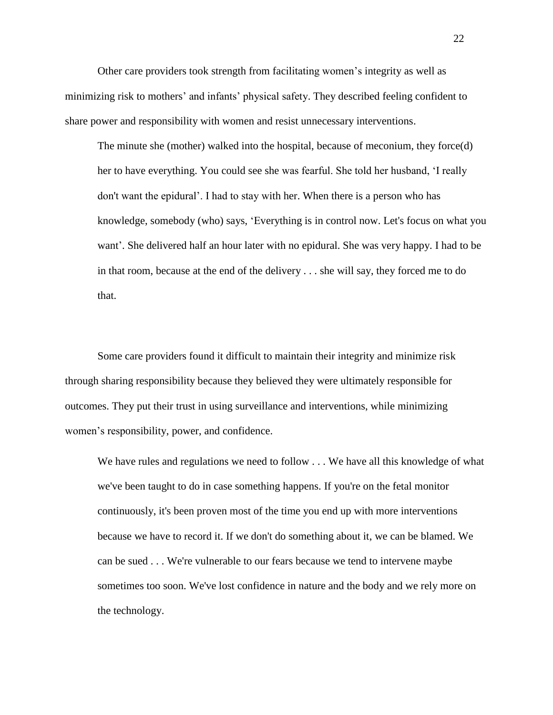Other care providers took strength from facilitating women's integrity as well as minimizing risk to mothers' and infants' physical safety. They described feeling confident to share power and responsibility with women and resist unnecessary interventions.

The minute she (mother) walked into the hospital, because of meconium, they force(d) her to have everything. You could see she was fearful. She told her husband, 'I really don't want the epidural'. I had to stay with her. When there is a person who has knowledge, somebody (who) says, 'Everything is in control now. Let's focus on what you want'. She delivered half an hour later with no epidural. She was very happy. I had to be in that room, because at the end of the delivery . . . she will say, they forced me to do that.

Some care providers found it difficult to maintain their integrity and minimize risk through sharing responsibility because they believed they were ultimately responsible for outcomes. They put their trust in using surveillance and interventions, while minimizing women's responsibility, power, and confidence.

We have rules and regulations we need to follow . . . We have all this knowledge of what we've been taught to do in case something happens. If you're on the fetal monitor continuously, it's been proven most of the time you end up with more interventions because we have to record it. If we don't do something about it, we can be blamed. We can be sued . . . We're vulnerable to our fears because we tend to intervene maybe sometimes too soon. We've lost confidence in nature and the body and we rely more on the technology.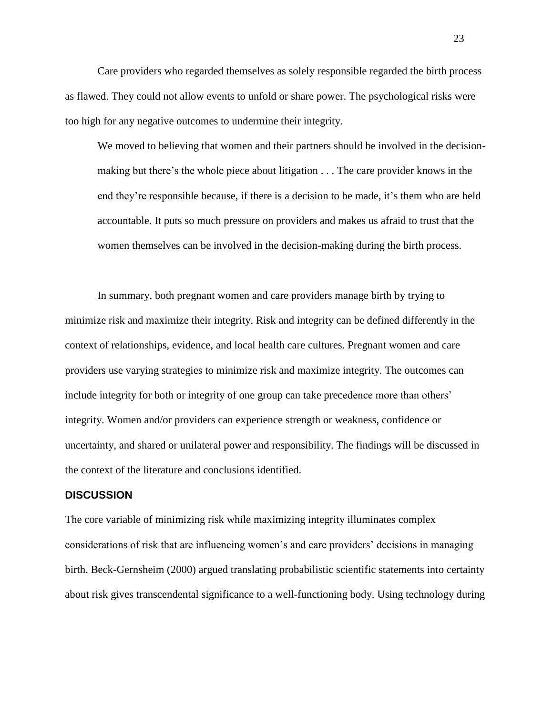Care providers who regarded themselves as solely responsible regarded the birth process as flawed. They could not allow events to unfold or share power. The psychological risks were too high for any negative outcomes to undermine their integrity.

We moved to believing that women and their partners should be involved in the decisionmaking but there's the whole piece about litigation . . . The care provider knows in the end they're responsible because, if there is a decision to be made, it's them who are held accountable. It puts so much pressure on providers and makes us afraid to trust that the women themselves can be involved in the decision-making during the birth process.

In summary, both pregnant women and care providers manage birth by trying to minimize risk and maximize their integrity. Risk and integrity can be defined differently in the context of relationships, evidence, and local health care cultures. Pregnant women and care providers use varying strategies to minimize risk and maximize integrity. The outcomes can include integrity for both or integrity of one group can take precedence more than others' integrity. Women and/or providers can experience strength or weakness, confidence or uncertainty, and shared or unilateral power and responsibility. The findings will be discussed in the context of the literature and conclusions identified.

#### **DISCUSSION**

The core variable of minimizing risk while maximizing integrity illuminates complex considerations of risk that are influencing women's and care providers' decisions in managing birth. Beck-Gernsheim (2000) argued translating probabilistic scientific statements into certainty about risk gives transcendental significance to a well-functioning body. Using technology during

23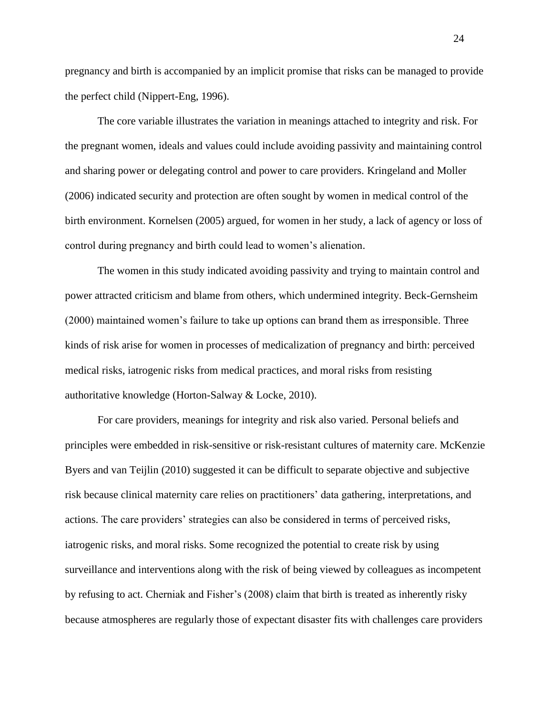pregnancy and birth is accompanied by an implicit promise that risks can be managed to provide the perfect child (Nippert-Eng, 1996).

The core variable illustrates the variation in meanings attached to integrity and risk. For the pregnant women, ideals and values could include avoiding passivity and maintaining control and sharing power or delegating control and power to care providers. Kringeland and Moller (2006) indicated security and protection are often sought by women in medical control of the birth environment. Kornelsen (2005) argued, for women in her study, a lack of agency or loss of control during pregnancy and birth could lead to women's alienation.

The women in this study indicated avoiding passivity and trying to maintain control and power attracted criticism and blame from others, which undermined integrity. Beck-Gernsheim (2000) maintained women's failure to take up options can brand them as irresponsible. Three kinds of risk arise for women in processes of medicalization of pregnancy and birth: perceived medical risks, iatrogenic risks from medical practices, and moral risks from resisting authoritative knowledge (Horton-Salway & Locke, 2010).

For care providers, meanings for integrity and risk also varied. Personal beliefs and principles were embedded in risk-sensitive or risk-resistant cultures of maternity care. McKenzie Byers and van Teijlin (2010) suggested it can be difficult to separate objective and subjective risk because clinical maternity care relies on practitioners' data gathering, interpretations, and actions. The care providers' strategies can also be considered in terms of perceived risks, iatrogenic risks, and moral risks. Some recognized the potential to create risk by using surveillance and interventions along with the risk of being viewed by colleagues as incompetent by refusing to act. Cherniak and Fisher's (2008) claim that birth is treated as inherently risky because atmospheres are regularly those of expectant disaster fits with challenges care providers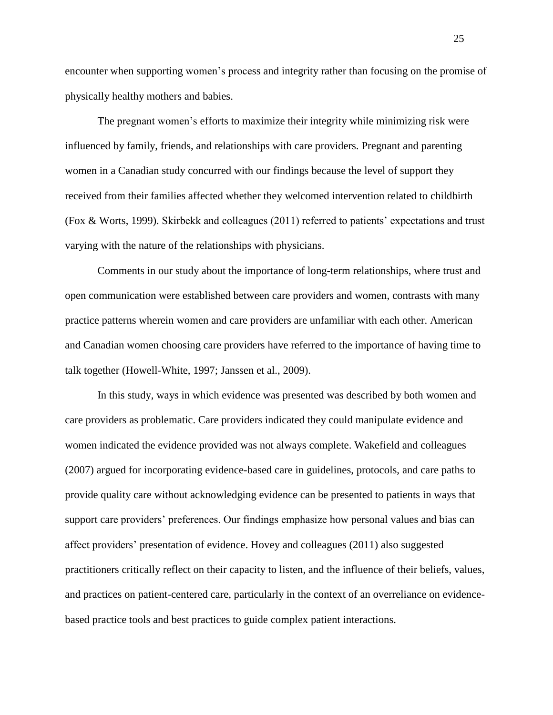encounter when supporting women's process and integrity rather than focusing on the promise of physically healthy mothers and babies.

The pregnant women's efforts to maximize their integrity while minimizing risk were influenced by family, friends, and relationships with care providers. Pregnant and parenting women in a Canadian study concurred with our findings because the level of support they received from their families affected whether they welcomed intervention related to childbirth (Fox & Worts, 1999). Skirbekk and colleagues (2011) referred to patients' expectations and trust varying with the nature of the relationships with physicians.

Comments in our study about the importance of long-term relationships, where trust and open communication were established between care providers and women, contrasts with many practice patterns wherein women and care providers are unfamiliar with each other. American and Canadian women choosing care providers have referred to the importance of having time to talk together (Howell-White, 1997; Janssen et al., 2009).

In this study, ways in which evidence was presented was described by both women and care providers as problematic. Care providers indicated they could manipulate evidence and women indicated the evidence provided was not always complete. Wakefield and colleagues (2007) argued for incorporating evidence-based care in guidelines, protocols, and care paths to provide quality care without acknowledging evidence can be presented to patients in ways that support care providers' preferences. Our findings emphasize how personal values and bias can affect providers' presentation of evidence. Hovey and colleagues (2011) also suggested practitioners critically reflect on their capacity to listen, and the influence of their beliefs, values, and practices on patient-centered care, particularly in the context of an overreliance on evidencebased practice tools and best practices to guide complex patient interactions.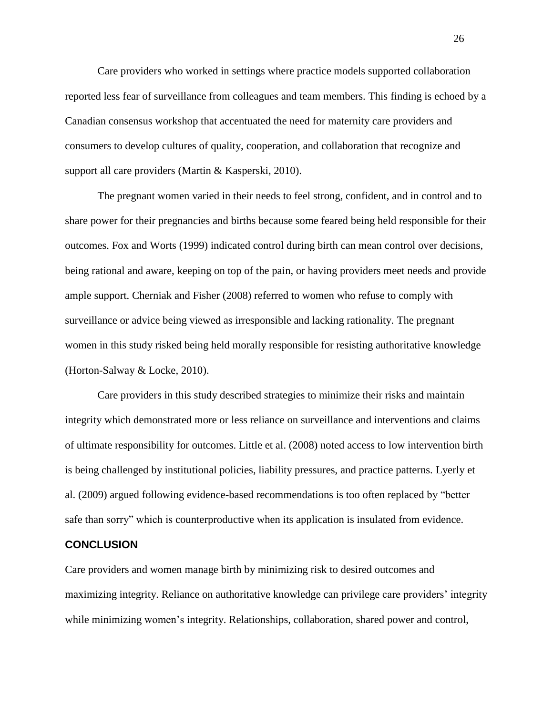Care providers who worked in settings where practice models supported collaboration reported less fear of surveillance from colleagues and team members. This finding is echoed by a Canadian consensus workshop that accentuated the need for maternity care providers and consumers to develop cultures of quality, cooperation, and collaboration that recognize and support all care providers (Martin & Kasperski, 2010).

The pregnant women varied in their needs to feel strong, confident, and in control and to share power for their pregnancies and births because some feared being held responsible for their outcomes. Fox and Worts (1999) indicated control during birth can mean control over decisions, being rational and aware, keeping on top of the pain, or having providers meet needs and provide ample support. Cherniak and Fisher (2008) referred to women who refuse to comply with surveillance or advice being viewed as irresponsible and lacking rationality. The pregnant women in this study risked being held morally responsible for resisting authoritative knowledge (Horton-Salway & Locke, 2010).

Care providers in this study described strategies to minimize their risks and maintain integrity which demonstrated more or less reliance on surveillance and interventions and claims of ultimate responsibility for outcomes. Little et al. (2008) noted access to low intervention birth is being challenged by institutional policies, liability pressures, and practice patterns. Lyerly et al. (2009) argued following evidence-based recommendations is too often replaced by "better safe than sorry" which is counterproductive when its application is insulated from evidence.

#### **CONCLUSION**

Care providers and women manage birth by minimizing risk to desired outcomes and maximizing integrity. Reliance on authoritative knowledge can privilege care providers' integrity while minimizing women's integrity. Relationships, collaboration, shared power and control,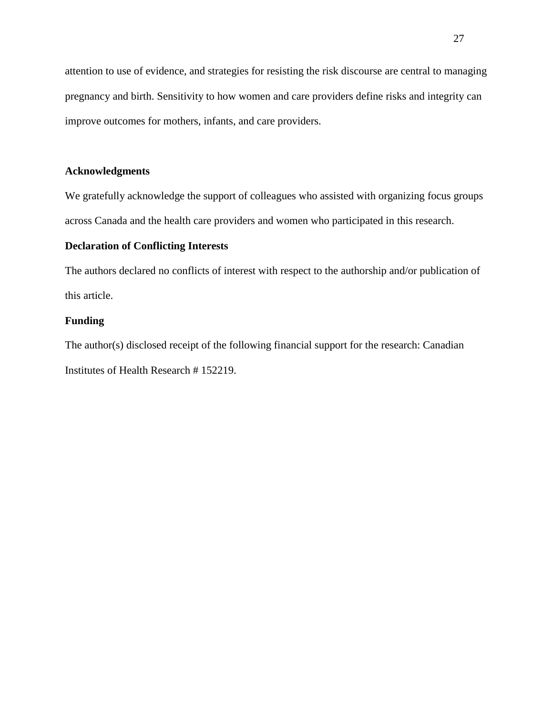attention to use of evidence, and strategies for resisting the risk discourse are central to managing pregnancy and birth. Sensitivity to how women and care providers define risks and integrity can improve outcomes for mothers, infants, and care providers.

## **Acknowledgments**

We gratefully acknowledge the support of colleagues who assisted with organizing focus groups across Canada and the health care providers and women who participated in this research.

## **Declaration of Conflicting Interests**

The authors declared no conflicts of interest with respect to the authorship and/or publication of this article.

## **Funding**

The author(s) disclosed receipt of the following financial support for the research: Canadian Institutes of Health Research # 152219.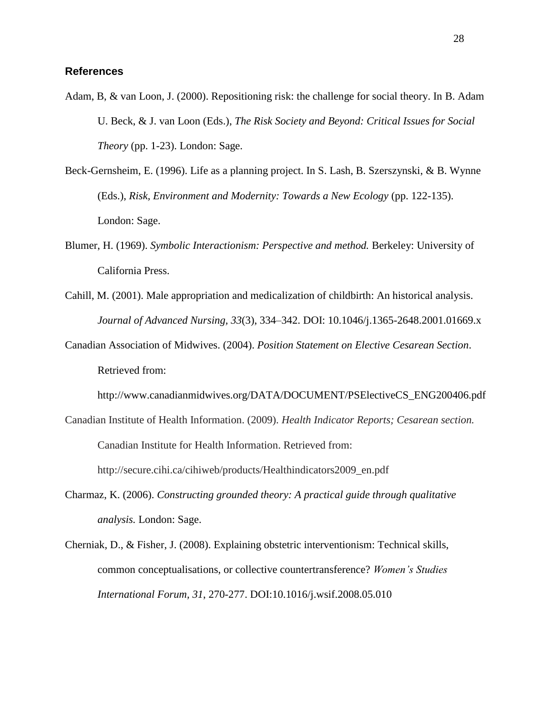#### **References**

- Adam, B, & van Loon, J. (2000). Repositioning risk: the challenge for social theory. In B. Adam U. Beck, & J. van Loon (Eds.), *The Risk Society and Beyond: Critical Issues for Social Theory* (pp. 1-23). London: Sage.
- Beck-Gernsheim, E. (1996). Life as a planning project. In S. Lash, B. Szerszynski, & B. Wynne (Eds.), *Risk, Environment and Modernity: Towards a New Ecology* (pp. 122-135). London: Sage.
- Blumer, H. (1969). *Symbolic Interactionism: Perspective and method.* Berkeley: University of California Press.
- Cahill, M. (2001). Male appropriation and medicalization of childbirth: An historical analysis. *Journal of Advanced Nursing, 33*(3), 334–342. DOI: 10.1046/j.1365-2648.2001.01669.x
- Canadian Association of Midwives. (2004). *Position Statement on Elective Cesarean Section*. Retrieved from:

http://www.canadianmidwives.org/DATA/DOCUMENT/PSElectiveCS\_ENG200406.pdf

- Canadian Institute of Health Information. (2009). *Health Indicator Reports; Cesarean section.* Canadian Institute for Health Information. Retrieved from: http://secure.cihi.ca/cihiweb/products/Healthindicators2009\_en.pdf
- Charmaz, K. (2006). *Constructing grounded theory: A practical guide through qualitative analysis.* London: Sage.
- Cherniak, D., & Fisher, J. (2008). Explaining obstetric interventionism: Technical skills, common conceptualisations, or collective countertransference? *Women's Studies International Forum, 31*, 270-277. DOI:10.1016/j.wsif.2008.05.010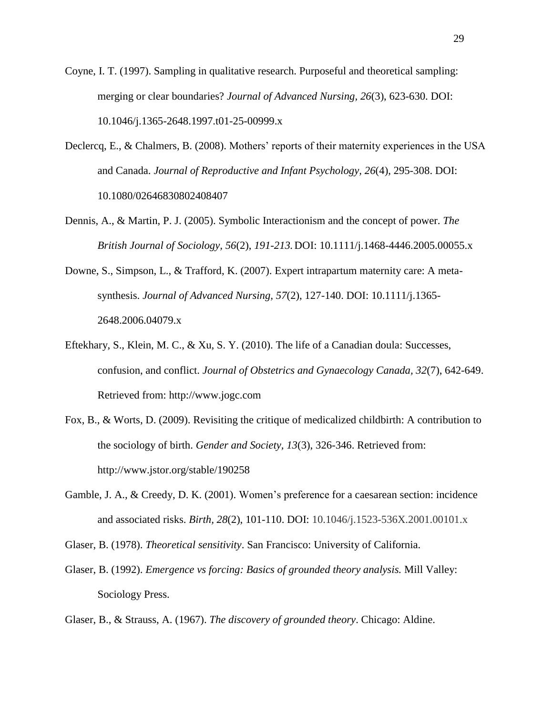Coyne, I. T. (1997). Sampling in qualitative research. Purposeful and theoretical sampling: merging or clear boundaries? *Journal of Advanced Nursing, 26*(3), 623-630. DOI: 10.1046/j.1365-2648.1997.t01-25-00999.x

- Declercq, E., & Chalmers, B. (2008). Mothers' reports of their maternity experiences in the USA and Canada. *Journal of Reproductive and Infant Psychology, 26*(4), 295-308. DOI: 10.1080/02646830802408407
- Dennis, A., & Martin, P. J. (2005). Symbolic Interactionism and the concept of power. *The British Journal of Sociology, 56*(2), *191-213.*DOI: 10.1111/j.1468-4446.2005.00055.x
- Downe, S., Simpson, L., & Trafford, K. (2007). Expert intrapartum maternity care: A metasynthesis. *Journal of Advanced Nursing, 57*(2), 127-140. DOI: 10.1111/j.1365- 2648.2006.04079.x
- Eftekhary, S., Klein, M. C., & Xu, S. Y. (2010). The life of a Canadian doula: Successes, confusion, and conflict. *Journal of Obstetrics and Gynaecology Canada, 32*(7), 642-649. Retrieved from: http://www.jogc.com
- Fox, B., & Worts, D. (2009). Revisiting the critique of medicalized childbirth: A contribution to the sociology of birth. *Gender and Society, 13*(3), 326-346. Retrieved from: http://www.jstor.org/stable/190258
- Gamble, J. A., & Creedy, D. K. (2001). Women's preference for a caesarean section: incidence and associated risks. *Birth, 28*(2), 101-110. DOI: 10.1046/j.1523-536X.2001.00101.x
- Glaser, B. (1978). *Theoretical sensitivity*. San Francisco: University of California.
- Glaser, B. (1992). *Emergence vs forcing: Basics of grounded theory analysis.* Mill Valley: Sociology Press.
- Glaser, B., & Strauss, A. (1967). *The discovery of grounded theory*. Chicago: Aldine.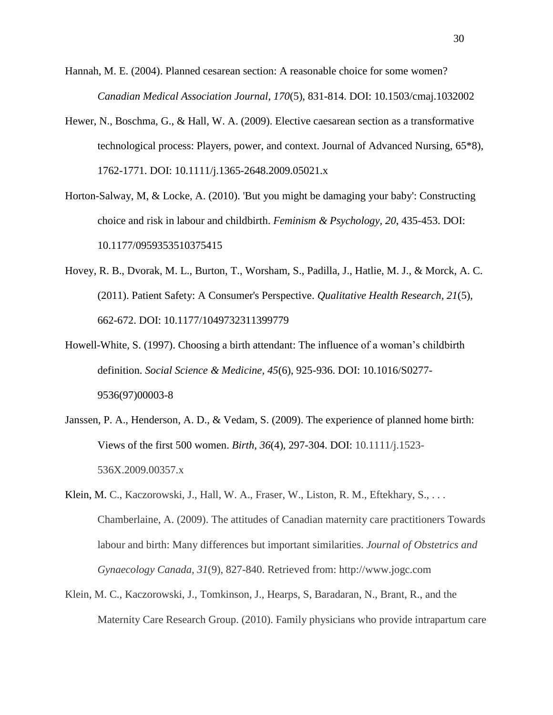Hannah, M. E. (2004). Planned cesarean section: A reasonable choice for some women? *Canadian Medical Association Journal, 170*(5), 831-814. DOI: 10.1503/cmaj.1032002

- Hewer, N., Boschma, G., & Hall, W. A. (2009). Elective caesarean section as a transformative technological process: Players, power, and context. Journal of Advanced Nursing, 65\*8), 1762-1771. DOI: 10.1111/j.1365-2648.2009.05021.x
- Horton-Salway, M, & Locke, A. (2010). 'But you might be damaging your baby': Constructing choice and risk in labour and childbirth. *Feminism & Psychology, 20*, 435-453. DOI: 10.1177/0959353510375415
- Hovey, R. B., Dvorak, M. L., Burton, T., Worsham, S., Padilla, J., Hatlie, M. J., & Morck, A. C. (2011). Patient Safety: A Consumer's Perspective. *Qualitative Health Research, 21*(5), 662-672. DOI: 10.1177/1049732311399779
- Howell-White, S. (1997). Choosing a birth attendant: The influence of a woman's childbirth definition. *Social Science & Medicine, 45*(6), 925-936. DOI: 10.1016/S0277- 9536(97)00003-8
- Janssen, P. A., Henderson, A. D., & Vedam, S. (2009). The experience of planned home birth: Views of the first 500 women. *Birth, 36*(4), 297-304. DOI: 10.1111/j.1523- 536X.2009.00357.x
- Klein, M. C., Kaczorowski, J., Hall, W. A., Fraser, W., Liston, R. M., Eftekhary, S., . . . Chamberlaine, A. (2009). The attitudes of Canadian maternity care practitioners Towards labour and birth: Many differences but important similarities. *Journal of Obstetrics and Gynaecology Canada, 31*(9), 827-840. Retrieved from: http://www.jogc.com
- Klein, M. C., Kaczorowski, J., Tomkinson, J., Hearps, S, Baradaran, N., Brant, R., and the Maternity Care Research Group. (2010). Family physicians who provide intrapartum care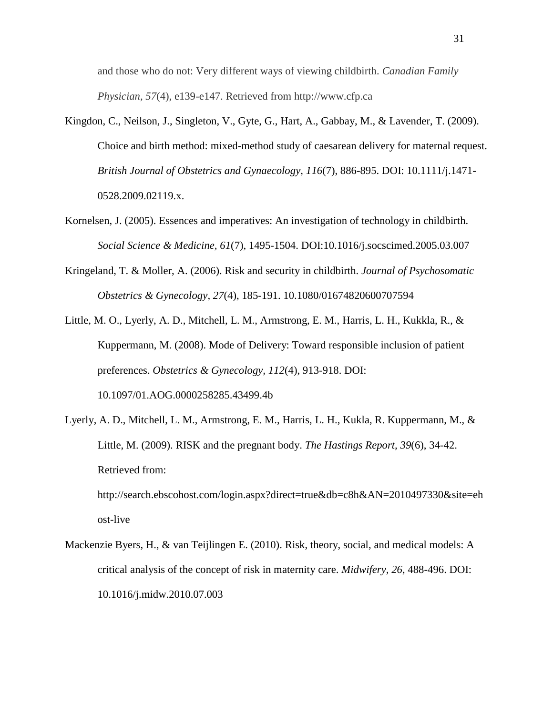and those who do not: Very different ways of viewing childbirth. *Canadian Family Physician, 57*(4), e139-e147. Retrieved from http://www.cfp.ca

- Kingdon, C., Neilson, J., Singleton, V., Gyte, G., Hart, A., Gabbay, M., & Lavender, T. (2009). Choice and birth method: mixed-method study of caesarean delivery for maternal request. *British Journal of Obstetrics and Gynaecology, 116*(7), 886-895. DOI: 10.1111/j.1471- 0528.2009.02119.x.
- Kornelsen, J. (2005). Essences and imperatives: An investigation of technology in childbirth. *Social Science & Medicine, 61*(7), 1495-1504. DOI:10.1016/j.socscimed.2005.03.007
- Kringeland, T. & Moller, A. (2006). Risk and security in childbirth. *Journal of Psychosomatic Obstetrics & Gynecology, 27*(4), 185-191. 10.1080/01674820600707594
- Little, M. O., Lyerly, A. D., Mitchell, L. M., Armstrong, E. M., Harris, L. H., Kukkla, R., & Kuppermann, M. (2008). Mode of Delivery: Toward responsible inclusion of patient preferences. *Obstetrics & Gynecology, 112*(4), 913-918. DOI: 10.1097/01.AOG.0000258285.43499.4b
- Lyerly, A. D., Mitchell, L. M., Armstrong, E. M., Harris, L. H., Kukla, R. Kuppermann, M., & Little, M. (2009). RISK and the pregnant body. *The Hastings Report, 39*(6), 34-42. Retrieved from: [http://search.ebscohost.com/login.aspx?direct=true&db=c8h&AN=2010497330&site=eh](http://search.ebscohost.com/login.aspx?direct=true&db=c8h&AN=2010497330&site=ehost-live) [ost-live](http://search.ebscohost.com/login.aspx?direct=true&db=c8h&AN=2010497330&site=ehost-live)
- Mackenzie Byers, H., & van Teijlingen E. (2010). Risk, theory, social, and medical models: A critical analysis of the concept of risk in maternity care. *Midwifery, 26*, 488-496. DOI: 10.1016/j.midw.2010.07.003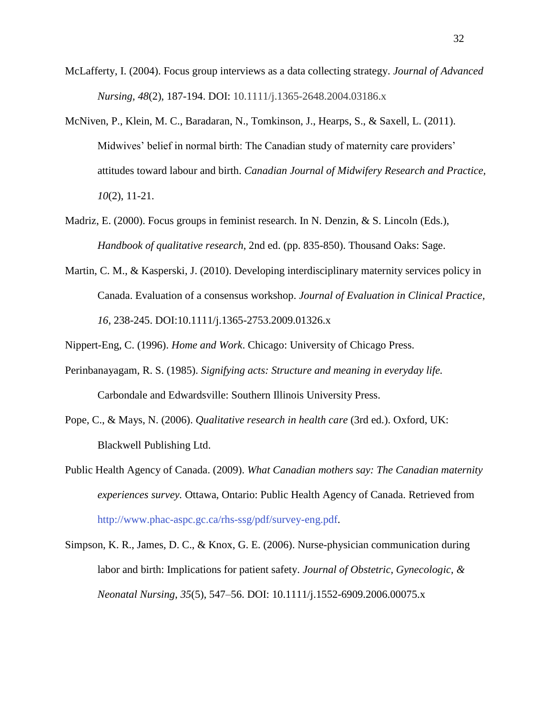- McLafferty, I. (2004). Focus group interviews as a data collecting strategy. *Journal of Advanced Nursing, 48*(2), 187-194. DOI: 10.1111/j.1365-2648.2004.03186.x
- McNiven, P., Klein, M. C., Baradaran, N., Tomkinson, J., Hearps, S., & Saxell, L. (2011). Midwives' belief in normal birth: The Canadian study of maternity care providers' attitudes toward labour and birth. *Canadian Journal of Midwifery Research and Practice, 10*(2), 11-21.
- Madriz, E. (2000). Focus groups in feminist research. In N. Denzin, & S. Lincoln (Eds.), *Handbook of qualitative research*, 2nd ed. (pp. 835-850). Thousand Oaks: Sage.
- Martin, C. M., & Kasperski, J. (2010). Developing interdisciplinary maternity services policy in Canada. Evaluation of a consensus workshop. *Journal of Evaluation in Clinical Practice, 16*, 238-245. DOI:10.1111/j.1365-2753.2009.01326.x

Nippert-Eng, C. (1996). *Home and Work*. Chicago: University of Chicago Press.

- Perinbanayagam, R. S. (1985). *Signifying acts: Structure and meaning in everyday life.* Carbondale and Edwardsville: Southern Illinois University Press.
- Pope, C., & Mays, N. (2006). *Qualitative research in health care* (3rd ed.). Oxford, UK: Blackwell Publishing Ltd.
- Public Health Agency of Canada. (2009). *What Canadian mothers say: The Canadian maternity experiences survey.* Ottawa, Ontario: Public Health Agency of Canada. Retrieved from [http://www.phac-aspc.gc.ca/rhs-ssg/pdf/survey-eng.pdf.](http://www.phac-aspc.gc.ca/rhs-ssg/pdf/survey-eng.pdf)
- Simpson, K. R., James, D. C., & Knox, G. E. (2006). Nurse-physician communication during labor and birth: Implications for patient safety. *Journal of Obstetric, Gynecologic, & Neonatal Nursing*, *35*(5), 547–56. DOI: 10.1111/j.1552-6909.2006.00075.x